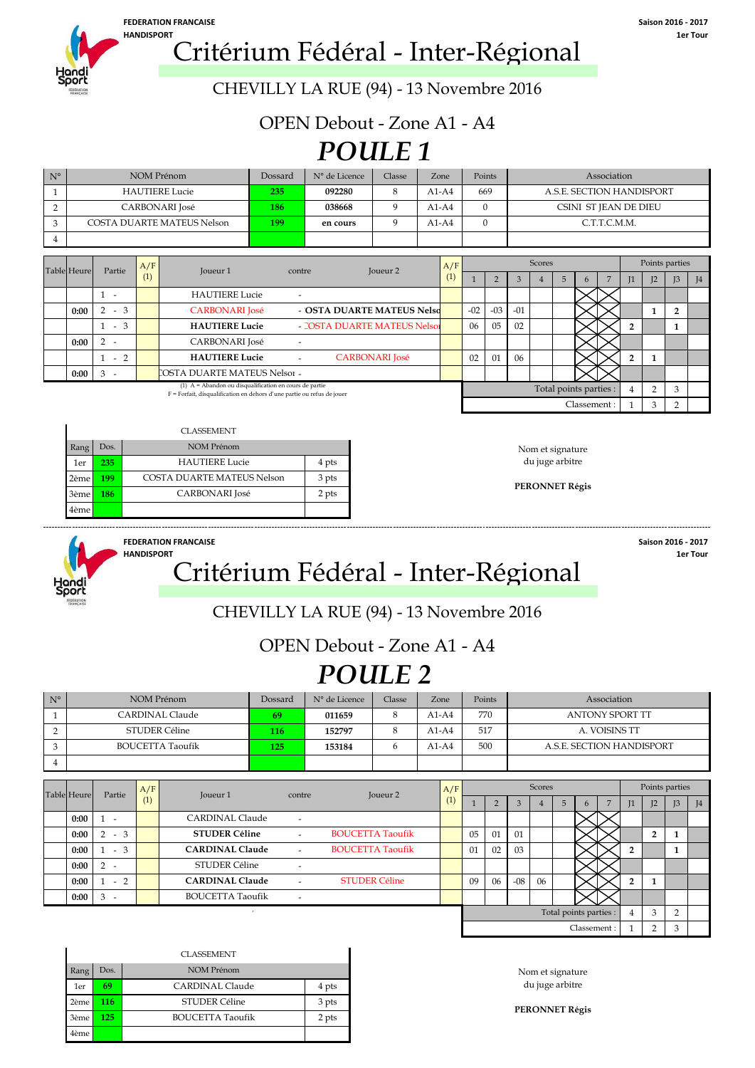

**HANDISPORT 1er Tour** Critérium Fédéral - Inter-Régional

CHEVILLY LA RUE (94) - 13 Novembre 2016

OPEN Debout - Zone A1 - A4

# *POULE 1*

| $N^{\circ}$ | NOM Prénom                        | Dossard | N° de Licence | Classe | Zone    | Points | Association               |
|-------------|-----------------------------------|---------|---------------|--------|---------|--------|---------------------------|
|             | <b>HAUTIERE Lucie</b>             | 235     | 092280        |        | $A1-A4$ | 669    | A.S.E. SECTION HANDISPORT |
|             | CARBONARI José                    | 186     | 038668        |        | $A1-A4$ |        | CSINI ST JEAN DE DIEU     |
|             | <b>COSTA DUARTE MATEUS Nelson</b> | 199     | en cours      |        | $A1-A4$ |        | C.T.T.C.M.M.              |
|             |                                   |         |               |        |         |        |                           |

| <b>Table Heure</b> | Partie                        | A/F | Joueur 1                                                                                                                           | contre                   | Joueur <sub>2</sub>          | A/F |       |       |       | Scores |                        |   |    |                | Points parties |   |
|--------------------|-------------------------------|-----|------------------------------------------------------------------------------------------------------------------------------------|--------------------------|------------------------------|-----|-------|-------|-------|--------|------------------------|---|----|----------------|----------------|---|
|                    |                               | (1) |                                                                                                                                    |                          |                              |     |       |       |       |        |                        | n | I1 | I <sub>2</sub> | I <sub>3</sub> | 4 |
|                    | $\overline{\phantom{a}}$      |     | <b>HAUTIERE Lucie</b>                                                                                                              | $\overline{\phantom{0}}$ |                              |     |       |       |       |        |                        |   |    |                |                |   |
| 0:00               | $-3$                          |     | <b>CARBONARI</b> José                                                                                                              |                          | - OSTA DUARTE MATEUS Nelso   |     | $-02$ | $-03$ | $-01$ |        |                        |   |    |                |                |   |
|                    | $-3$                          |     | <b>HAUTIERE Lucie</b>                                                                                                              |                          | - COSTA DUARTE MATEUS Nelso: |     | 06    | 05    | 02    |        |                        |   |    |                |                |   |
| 0:00               | 2                             |     | <b>CARBONARI</b> José                                                                                                              |                          |                              |     |       |       |       |        |                        |   |    |                |                |   |
|                    | $-2$                          |     | <b>HAUTIERE Lucie</b>                                                                                                              |                          | <b>CARBONARI</b> José        |     | 02    | 01    | 06    |        |                        |   |    |                |                |   |
| 0:00               | 3<br>$\overline{\phantom{a}}$ |     | COSTA DUARTE MATEUS Nelso1 -                                                                                                       |                          |                              |     |       |       |       |        |                        |   |    |                |                |   |
|                    |                               |     | (1) $A =$ Abandon ou disqualification en cours de partie<br>F = Forfait, disqualification en dehors d'une partie ou refus de jouer |                          |                              |     |       |       |       |        | Total points parties : |   |    | $\sqrt{2}$     | $\Omega$       |   |

|      |                  | <b>CLASSEMENT</b>          |       |                  |
|------|------------------|----------------------------|-------|------------------|
| Rang | Dos.             | NOM Prénom                 |       | Nom et signature |
| 1er  | 235 <sub>1</sub> | <b>HAUTIERE Lucie</b>      | 4 pts | du juge arbitre  |
| 2ème | 199              | COSTA DUARTE MATEUS Nelson | 3 pts | PERONNET Régis   |
| 3ème | 186              | <b>CARBONARI</b> José      | 2 pts |                  |
| 4ème |                  |                            |       |                  |



#### **HANDISPORT 1er Tour** Critérium Fédéral - Inter-Régional

**FEDERATION FRANCAISE Saison 2016 - 2017**

 $\text{Classement}: \begin{array}{|c|c|c|c|c|} 1 & 3 & 2 \\ \hline \end{array}$ 

### CHEVILLY LA RUE (94) - 13 Novembre 2016

### OPEN Debout - Zone A1 - A4

## *POULE 2*

| $N^{\circ}$ | NOM Prénom              | Dossard | N° de Licence | Classe | Zone    | Points | Association               |
|-------------|-------------------------|---------|---------------|--------|---------|--------|---------------------------|
|             | CARDINAL Claude         | 69      | 011659        |        | $A1-A4$ | 770    | <b>ANTONY SPORT TT</b>    |
|             | STUDER Céline           | 116     | 152797        |        | $A1-A4$ | 517    | A. VOISINS TT             |
|             | <b>BOUCETTA Taoufik</b> | 125     | 153184        |        | $A1-A4$ | 500    | A.S.E. SECTION HANDISPORT |
|             |                         |         |               |        |         |        |                           |

|                    |      |                          | A/F |                         |                          |                         | A/F |    |    |       | Scores |                        |             |        |                | Points parties |   |
|--------------------|------|--------------------------|-----|-------------------------|--------------------------|-------------------------|-----|----|----|-------|--------|------------------------|-------------|--------|----------------|----------------|---|
| <b>Table Heure</b> |      | Partie                   | (1) | Joueur 1                | contre                   | Joueur 2                | (1) |    |    |       |        | 5                      |             | L      | I <sub>2</sub> | J3             | 4 |
|                    | 0:00 | $\overline{\phantom{a}}$ |     | <b>CARDINAL Claude</b>  | $\overline{\phantom{a}}$ |                         |     |    |    |       |        |                        |             |        |                |                |   |
|                    | 0:00 | $-3$<br>$\overline{2}$   |     | <b>STUDER Céline</b>    |                          | <b>BOUCETTA Taoufik</b> |     | 05 | 01 | 01    |        |                        |             |        | $\overline{2}$ |                |   |
|                    | 0:00 | $-3$                     |     | <b>CARDINAL Claude</b>  | $\sim$                   | <b>BOUCETTA Taoufik</b> |     | 01 | 02 | 03    |        |                        |             |        |                |                |   |
|                    | 0:00 | $2 -$                    |     | STUDER Céline           | $\overline{\phantom{a}}$ |                         |     |    |    |       |        |                        |             |        |                |                |   |
|                    | 0:00 | $-2$                     |     | <b>CARDINAL Claude</b>  | $\overline{\phantom{a}}$ | <b>STUDER Céline</b>    |     | 09 | 06 | $-08$ | 06     |                        |             | $\sim$ |                |                |   |
|                    | 0:00 | $3 -$                    |     | <b>BOUCETTA Taoufik</b> | $\overline{\phantom{a}}$ |                         |     |    |    |       |        |                        |             |        |                |                |   |
|                    |      |                          |     |                         |                          |                         |     |    |    |       |        | Total points parties : |             |        | 3              | $\sim$         |   |
|                    |      |                          |     |                         |                          |                         |     |    |    |       |        |                        | Classement: |        | $\Omega$       | 3              |   |

|      |      | <b>CLASSEMENT</b>       |       |
|------|------|-------------------------|-------|
| Rang | Dos. | <b>NOM Prénom</b>       |       |
| 1er  | 69   | CARDINAL Claude         | 4 pts |
| 2ème | 116  | STUDER Céline           | 3 pts |
| 3ème | 125  | <b>BOUCETTA Taoufik</b> | 2 pts |
| 4ème |      |                         |       |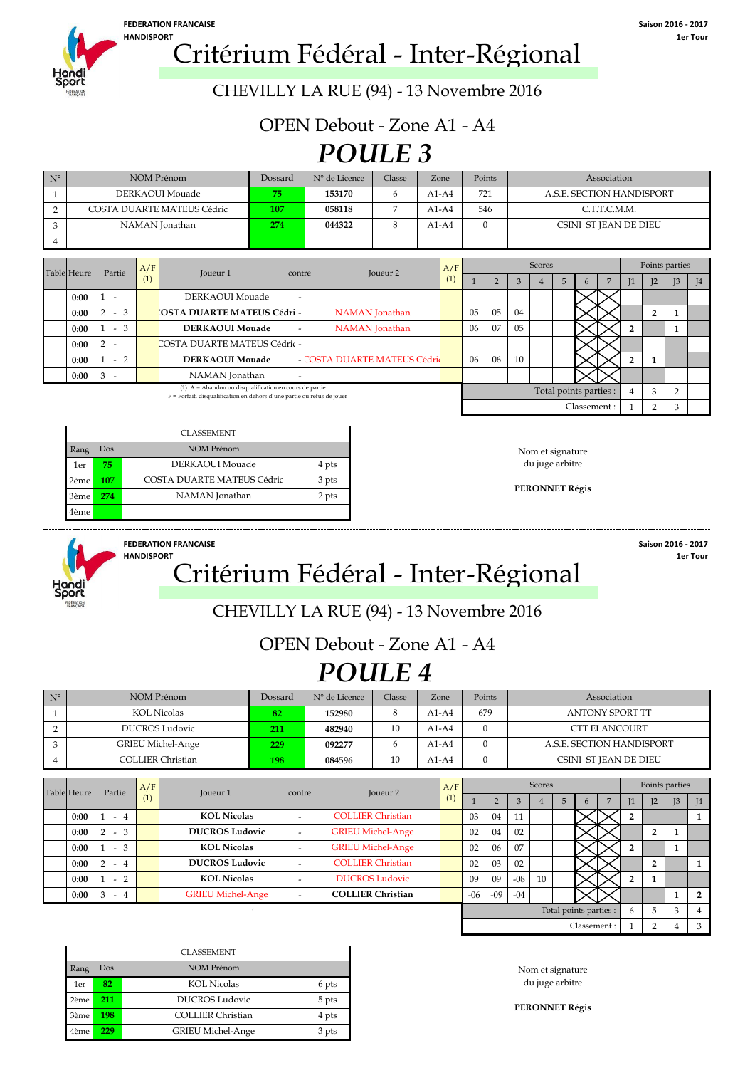

# **HANDISPORT**<br> **1er Tour 1er Tour 1er Tour 1er Tour 1er Tour 1er Tour 1er Tour 1er Tour 1er Tour 1970**

CHEVILLY LA RUE (94) - 13 Novembre 2016

OPEN Debout - Zone A1 - A4

## *POULE 3*

| $N^{\circ}$ | NOM Prénom                 | Dossard | N° de Licence | Classe | Zone    | Points   | Association               |                |
|-------------|----------------------------|---------|---------------|--------|---------|----------|---------------------------|----------------|
|             | DERKAOUI Mouade            | 75      | 153170        | h      | $A1-A4$ | 721      | A.S.E. SECTION HANDISPORT |                |
|             | COSTA DUARTE MATEUS Cédric | 107     | 058118        |        | $A1-A4$ | 546      | C.T.T.C.M.M.              |                |
|             | NAMAN Jonathan             | 274     | 044322        |        | $A1-A4$ | $\Omega$ | CSINI ST JEAN DE DIEU     |                |
|             |                            |         |               |        |         |          |                           |                |
|             |                            |         |               |        |         |          |                           |                |
|             | A/F                        |         |               |        | A/F     |          | Scores                    | Points parties |

| Table Heure |      | Partie                   | A/F | Joueur 1                                                                                                                                           | contre | Joueur <sub>2</sub>         | A/F |                |    |    | <b>Scores</b> |                        |              |                |               | Points parties |                 |
|-------------|------|--------------------------|-----|----------------------------------------------------------------------------------------------------------------------------------------------------|--------|-----------------------------|-----|----------------|----|----|---------------|------------------------|--------------|----------------|---------------|----------------|-----------------|
|             |      |                          | (1) |                                                                                                                                                    |        |                             | (1) |                |    |    |               |                        | $\mathbf{b}$ | I <sub>1</sub> | $\mathsf{I}2$ | J <sub>3</sub> | $\overline{14}$ |
|             | 0:00 | $\overline{\phantom{a}}$ |     | DERKAOUI Mouade                                                                                                                                    |        |                             |     |                |    |    |               |                        |              |                |               |                |                 |
|             | 0:00 | $-3$                     |     | <b>COSTA DUARTE MATEUS Cédri -</b>                                                                                                                 |        | <b>NAMAN</b> Jonathan       |     | 0 <sub>5</sub> | 05 | 04 |               |                        |              |                |               |                |                 |
|             | 0:00 | $-3$                     |     | <b>DERKAOUI Mouade</b>                                                                                                                             | $\sim$ | NAMAN Jonathan              |     | 06             | 07 | 05 |               |                        |              |                |               |                |                 |
|             | 0:00 |                          |     | COSTA DUARTE MATEUS Cédric -                                                                                                                       |        |                             |     |                |    |    |               |                        |              |                |               |                |                 |
|             | 0:00 | $-2$                     |     | <b>DERKAOUI Mouade</b>                                                                                                                             |        | - COSTA DUARTE MATEUS Cédri |     | 06             | 06 | 10 |               |                        |              |                |               |                |                 |
|             | 0:00 |                          |     | NAMAN Jonathan                                                                                                                                     |        |                             |     |                |    |    |               |                        |              |                |               |                |                 |
|             |      |                          |     | $(1)$ A = Abandon ou disqualification en cours de partie<br>The Theofalk (discovered in the second contribution of the contribution of the formula |        |                             |     |                |    |    |               | Total points parties : |              |                |               |                |                 |

(1) A = Abandon ou disqualification en cours de partie F = Forfait, disqualification en dehors d'une partie ou refus de jouer

|      |      | <b>CLASSEMENT</b>          |       |
|------|------|----------------------------|-------|
| Rang | Dos. | NOM Prénom                 |       |
| 1er  | 75.  | DERKAOUI Mouade            | 4 pts |
| 2ème | 107  | COSTA DUARTE MATEUS Cédric | 3 pts |
| 3ème | 274  | NAMAN Jonathan             | 2 pts |
| 4ème |      |                            |       |

Classement :



### **FEDERATION FRANCAISE Saison 2016 - 2017** HANDISPORT **1.1 Critérium Fédéral - Inter-Régional**

 $1 \quad 2 \quad 3$ 

### CHEVILLY LA RUE (94) - 13 Novembre 2016

### OPEN Debout - Zone A1 - A4

## *POULE 4*

| $N^{\circ}$ | NOM Prénom               | Dossard | N° de Licence | Classe | Zone    | Points | Association               |
|-------------|--------------------------|---------|---------------|--------|---------|--------|---------------------------|
|             | <b>KOL Nicolas</b>       | 82      | 152980        |        | $A1-A4$ | 679    | ANTONY SPORT TT           |
|             | <b>DUCROS Ludovic</b>    | 211     | 482940        | 10     | $A1-A4$ |        | <b>CTT ELANCOURT</b>      |
|             | <b>GRIEU Michel-Ange</b> | 229     | 092277        |        | $A1-A4$ |        | A.S.E. SECTION HANDISPORT |
|             | COLLIER Christian        | 198     | 084596        | 10     | $A1-A4$ |        | CSINI ST JEAN DE DIEU     |

| <b>Table Heure</b> | Partie                | A/F | Joueur 1                 | contre                   | Joueur <sub>2</sub>      | A/F |       |       |              | Scores |   |                        |    |                | Points parties |                   |
|--------------------|-----------------------|-----|--------------------------|--------------------------|--------------------------|-----|-------|-------|--------------|--------|---|------------------------|----|----------------|----------------|-------------------|
|                    |                       | (1) |                          |                          |                          | (1) |       |       | $\mathbf{3}$ |        | 5 |                        | 11 | I <sub>2</sub> | J <sub>3</sub> | I <sub>4</sub>    |
| 0:00               | $-4$                  |     | <b>KOL Nicolas</b>       |                          | <b>COLLIER Christian</b> |     | 03    | 04    | 11           |        |   |                        |    |                |                |                   |
| 0:00               | $-3$                  |     | <b>DUCROS Ludovic</b>    | $\overline{\phantom{a}}$ | <b>GRIEU Michel-Ange</b> |     | 02    | 04    | 02           |        |   |                        |    | $\overline{2}$ |                |                   |
| 0:00               | $-3$                  |     | <b>KOL Nicolas</b>       |                          | <b>GRIEU Michel-Ange</b> |     | 02    | 06    | 07           |        |   |                        |    |                |                |                   |
| 0:00               | $\mathcal{P}$<br>$-4$ |     | <b>DUCROS Ludovic</b>    |                          | <b>COLLIER Christian</b> |     | 02    | 03    | 02           |        |   |                        |    | $\overline{2}$ |                |                   |
| 0:00               | $-2$                  |     | <b>KOL Nicolas</b>       |                          | <b>DUCROS Ludovic</b>    |     | 09    | 09    | $-08$        | 10     |   |                        |    |                |                |                   |
| 0:00               | 3<br>$-4$             |     | <b>GRIEU Michel-Ange</b> | $\sim$                   | <b>COLLIER Christian</b> |     | $-06$ | $-09$ | $-04$        |        |   |                        |    |                |                | $\mathbf{\Omega}$ |
|                    |                       |     |                          |                          |                          |     |       |       |              |        |   | Total points parties : | h. | 5              |                | 4                 |
|                    |                       |     |                          |                          |                          |     |       |       |              |        |   | Classement:            |    | $\sim$         |                | 3                 |

|      |      | <b>CLASSEMENT</b>        |       |
|------|------|--------------------------|-------|
| Rang | Dos. | NOM Prénom               |       |
| 1er  | 82   | <b>KOL Nicolas</b>       | 6 pts |
| 2ème | 211  | <b>DUCROS Ludovic</b>    | 5 pts |
| 3ème | 198  | <b>COLLIER Christian</b> | 4 pts |
| 4ème | 229  | GRIEU Michel-Ange        | 3 pts |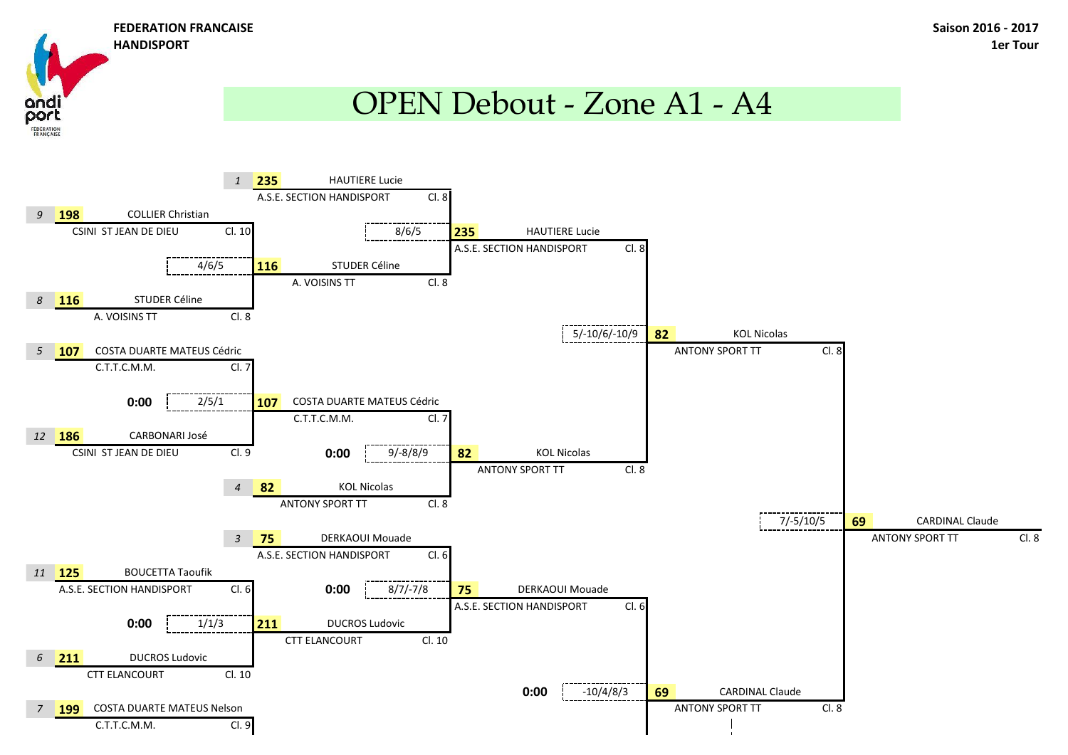ana

**FÉDÉRATION** 

## OPEN Debout - Zone A1 - A4

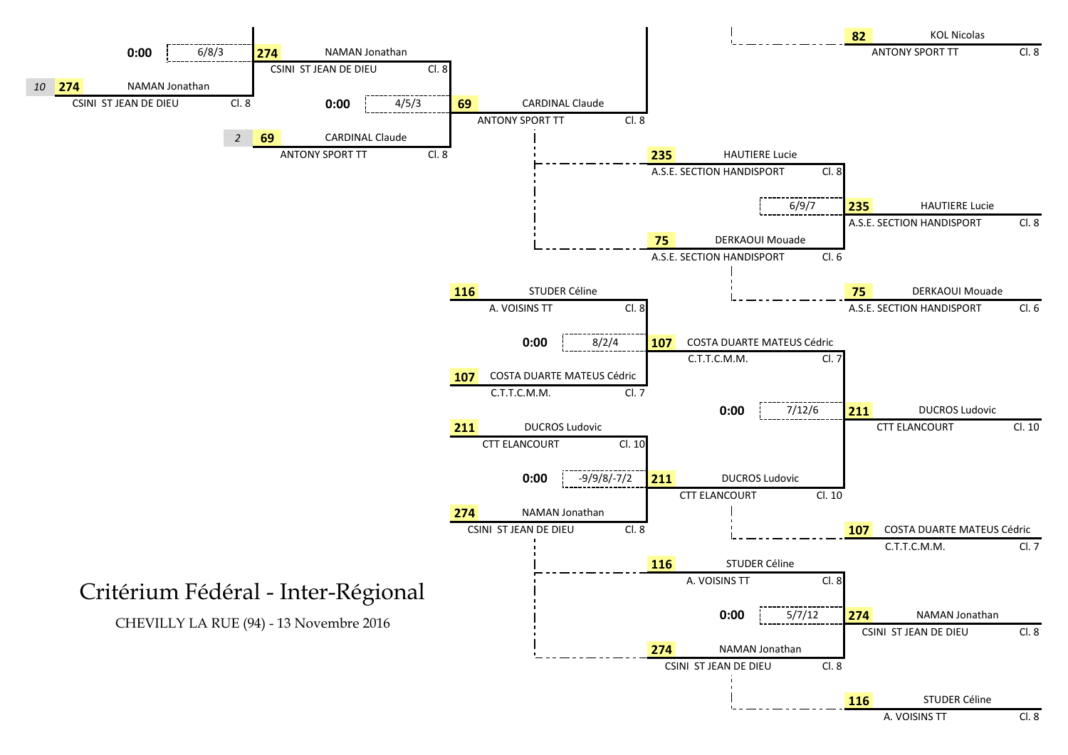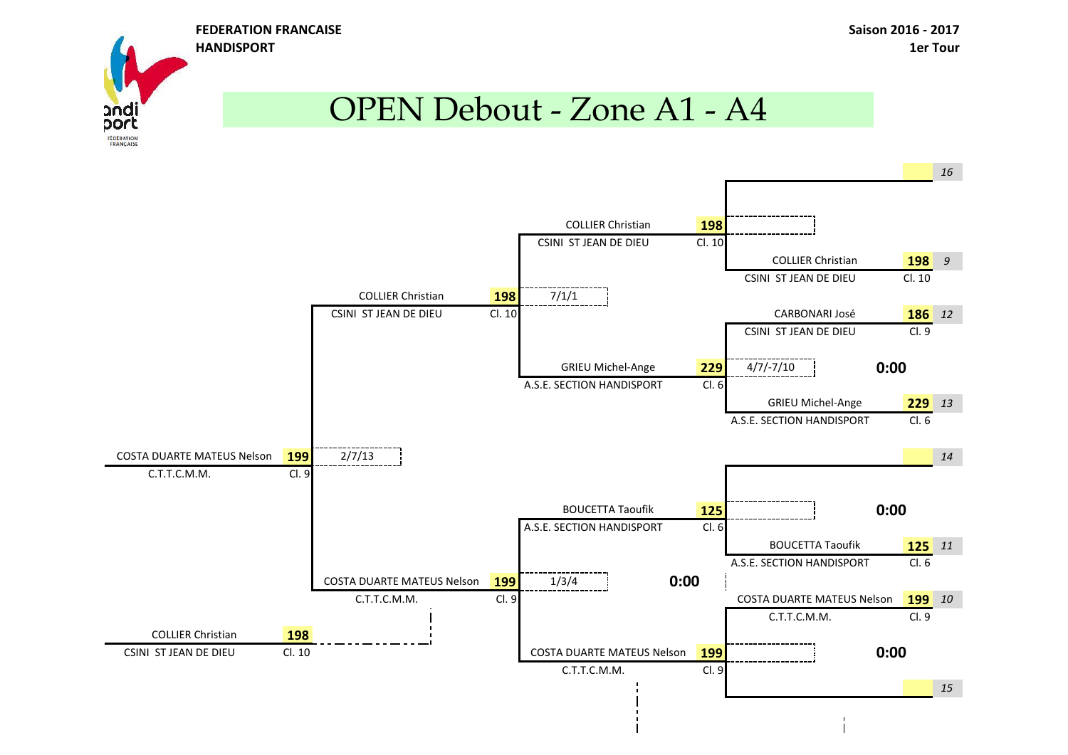

# OPEN Debout - Zone A1 - A4

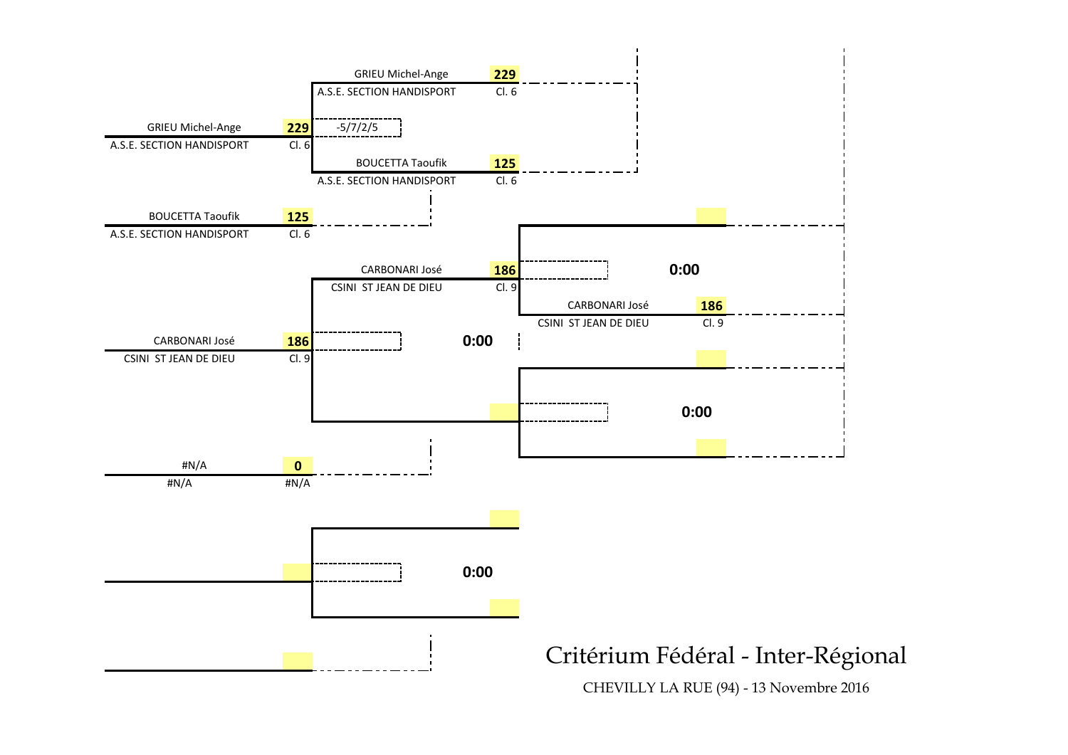

CHEVILLY LA RUE (94) - 13 Novembre 2016